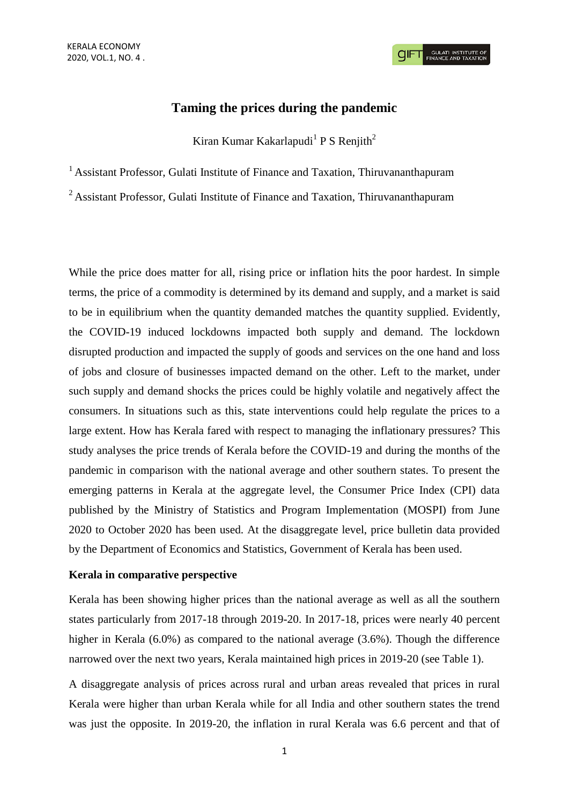**GULATI INSTITUTE O**<br>FINANCE AND TAXATIO

# **Taming the prices during the pandemic**

Kiran Kumar Kakarlapudi<sup>1</sup> P S Renjith<sup>2</sup>

<sup>1</sup> Assistant Professor, Gulati Institute of Finance and Taxation, Thiruvananthapuram

<sup>2</sup> Assistant Professor, Gulati Institute of Finance and Taxation, Thiruvananthapuram

While the price does matter for all, rising price or inflation hits the poor hardest. In simple terms, the price of a commodity is determined by its demand and supply, and a market is said to be in equilibrium when the quantity demanded matches the quantity supplied. Evidently, the COVID-19 induced lockdowns impacted both supply and demand. The lockdown disrupted production and impacted the supply of goods and services on the one hand and loss of jobs and closure of businesses impacted demand on the other. Left to the market, under such supply and demand shocks the prices could be highly volatile and negatively affect the consumers. In situations such as this, state interventions could help regulate the prices to a large extent. How has Kerala fared with respect to managing the inflationary pressures? This study analyses the price trends of Kerala before the COVID-19 and during the months of the pandemic in comparison with the national average and other southern states. To present the emerging patterns in Kerala at the aggregate level, the Consumer Price Index (CPI) data published by the Ministry of Statistics and Program Implementation (MOSPI) from June 2020 to October 2020 has been used. At the disaggregate level, price bulletin data provided by the Department of Economics and Statistics, Government of Kerala has been used.

### **Kerala in comparative perspective**

Kerala has been showing higher prices than the national average as well as all the southern states particularly from 2017-18 through 2019-20. In 2017-18, prices were nearly 40 percent higher in Kerala (6.0%) as compared to the national average (3.6%). Though the difference narrowed over the next two years, Kerala maintained high prices in 2019-20 (see Table 1).

A disaggregate analysis of prices across rural and urban areas revealed that prices in rural Kerala were higher than urban Kerala while for all India and other southern states the trend was just the opposite. In 2019-20, the inflation in rural Kerala was 6.6 percent and that of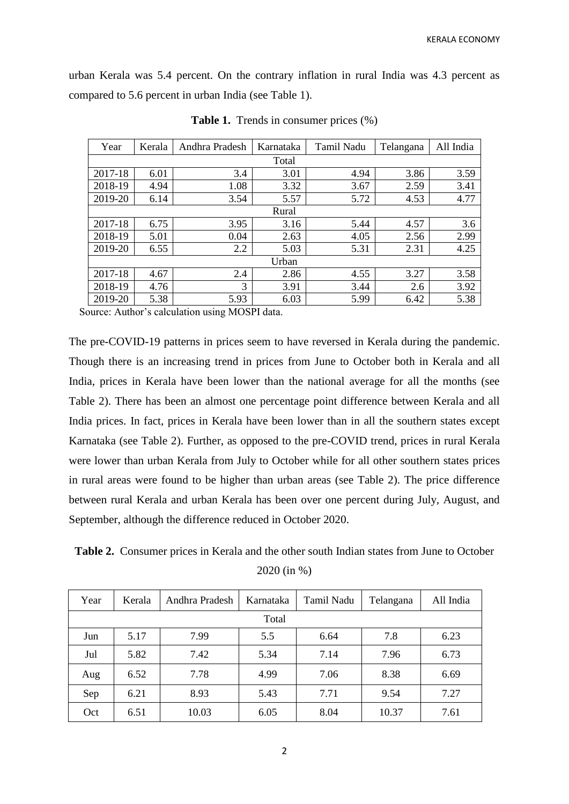urban Kerala was 5.4 percent. On the contrary inflation in rural India was 4.3 percent as compared to 5.6 percent in urban India (see Table 1).

| Year    | Kerala | Andhra Pradesh | Karnataka | Tamil Nadu | Telangana | All India |  |  |
|---------|--------|----------------|-----------|------------|-----------|-----------|--|--|
| Total   |        |                |           |            |           |           |  |  |
| 2017-18 | 6.01   | 3.4            | 3.01      | 4.94       | 3.86      | 3.59      |  |  |
| 2018-19 | 4.94   | 1.08           | 3.32      | 3.67       | 2.59      | 3.41      |  |  |
| 2019-20 | 6.14   | 3.54           | 5.57      | 5.72       | 4.53      | 4.77      |  |  |
| Rural   |        |                |           |            |           |           |  |  |
| 2017-18 | 6.75   | 3.95           | 3.16      | 5.44       | 4.57      | 3.6       |  |  |
| 2018-19 | 5.01   | 0.04           | 2.63      | 4.05       | 2.56      | 2.99      |  |  |
| 2019-20 | 6.55   | 2.2            | 5.03      | 5.31       | 2.31      | 4.25      |  |  |
| Urban   |        |                |           |            |           |           |  |  |
| 2017-18 | 4.67   | 2.4            | 2.86      | 4.55       | 3.27      | 3.58      |  |  |
| 2018-19 | 4.76   | 3              | 3.91      | 3.44       | 2.6       | 3.92      |  |  |
| 2019-20 | 5.38   | 5.93           | 6.03      | 5.99       | 6.42      | 5.38      |  |  |

**Table 1.** Trends in consumer prices (%)

Source: Author's calculation using MOSPI data.

The pre-COVID-19 patterns in prices seem to have reversed in Kerala during the pandemic. Though there is an increasing trend in prices from June to October both in Kerala and all India, prices in Kerala have been lower than the national average for all the months (see Table 2). There has been an almost one percentage point difference between Kerala and all India prices. In fact, prices in Kerala have been lower than in all the southern states except Karnataka (see Table 2). Further, as opposed to the pre-COVID trend, prices in rural Kerala were lower than urban Kerala from July to October while for all other southern states prices in rural areas were found to be higher than urban areas (see Table 2). The price difference between rural Kerala and urban Kerala has been over one percent during July, August, and September, although the difference reduced in October 2020.

**Table 2.** Consumer prices in Kerala and the other south Indian states from June to October 2020 (in %)

| Year  | Kerala | Andhra Pradesh | Karnataka | Tamil Nadu   | Telangana | All India |  |
|-------|--------|----------------|-----------|--------------|-----------|-----------|--|
| Total |        |                |           |              |           |           |  |
| Jun   | 5.17   | 7.99           | 5.5       | 6.64         | 7.8       | 6.23      |  |
| Jul   | 5.82   | 7.42           | 5.34      | 7.14<br>7.96 |           | 6.73      |  |
| Aug   | 6.52   | 7.78           | 4.99      | 7.06         | 8.38      | 6.69      |  |
| Sep   | 6.21   | 8.93           | 5.43      | 7.71         | 9.54      | 7.27      |  |
| Oct   | 6.51   | 10.03          | 6.05      | 8.04         | 10.37     | 7.61      |  |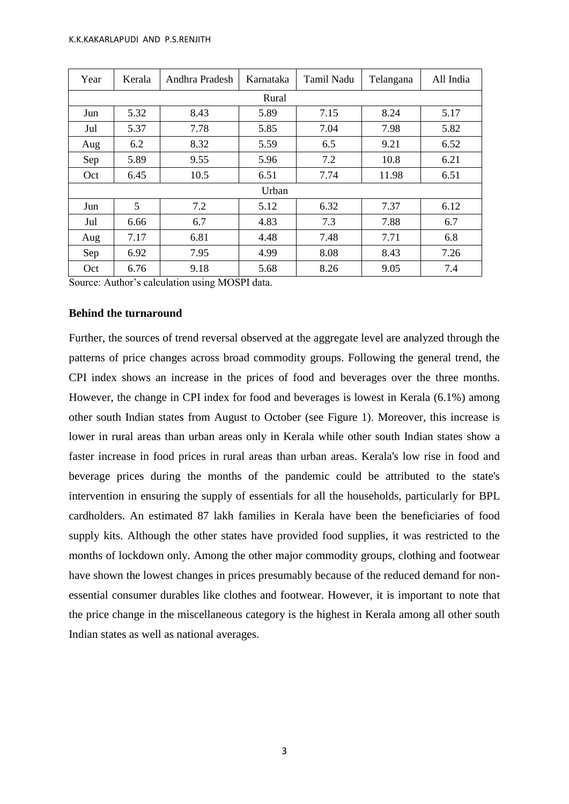| Year  | Kerala | Andhra Pradesh | Karnataka            | Tamil Nadu<br>Telangana |       | All India |  |  |
|-------|--------|----------------|----------------------|-------------------------|-------|-----------|--|--|
| Rural |        |                |                      |                         |       |           |  |  |
| Jun   | 5.32   | 8.43           | 5.89<br>7.15<br>8.24 |                         |       | 5.17      |  |  |
| Jul   | 5.37   | 7.78           | 5.85                 | 7.04<br>7.98            |       | 5.82      |  |  |
| Aug   | 6.2    | 8.32           | 5.59                 | 6.5<br>9.21             |       | 6.52      |  |  |
| Sep   | 5.89   | 9.55           | 5.96                 | 7.2<br>10.8             |       | 6.21      |  |  |
| Oct   | 6.45   | 10.5           | 6.51                 | 7.74                    | 11.98 | 6.51      |  |  |
| Urban |        |                |                      |                         |       |           |  |  |
| Jun   | 5      | 7.2            | 5.12                 | 6.32                    | 7.37  | 6.12      |  |  |
| Jul   | 6.66   | 6.7            | 4.83                 | 7.3                     | 7.88  | 6.7       |  |  |
| Aug   | 7.17   | 6.81           | 4.48                 | 7.48<br>7.71            |       | 6.8       |  |  |
| Sep   | 6.92   | 7.95           | 4.99                 | 8.08<br>8.43            |       | 7.26      |  |  |
| Oct   | 6.76   | 9.18           | 5.68                 | 8.26                    | 9.05  | 7.4       |  |  |

Source: Author's calculation using MOSPI data.

### **Behind the turnaround**

Further, the sources of trend reversal observed at the aggregate level are analyzed through the patterns of price changes across broad commodity groups. Following the general trend, the CPI index shows an increase in the prices of food and beverages over the three months. However, the change in CPI index for food and beverages is lowest in Kerala (6.1%) among other south Indian states from August to October (see Figure 1). Moreover, this increase is lower in rural areas than urban areas only in Kerala while other south Indian states show a faster increase in food prices in rural areas than urban areas. Kerala's low rise in food and beverage prices during the months of the pandemic could be attributed to the state's intervention in ensuring the supply of essentials for all the households, particularly for BPL cardholders. An estimated 87 lakh families in Kerala have been the beneficiaries of food supply kits. Although the other states have provided food supplies, it was restricted to the months of lockdown only. Among the other major commodity groups, clothing and footwear have shown the lowest changes in prices presumably because of the reduced demand for nonessential consumer durables like clothes and footwear. However, it is important to note that the price change in the miscellaneous category is the highest in Kerala among all other south Indian states as well as national averages.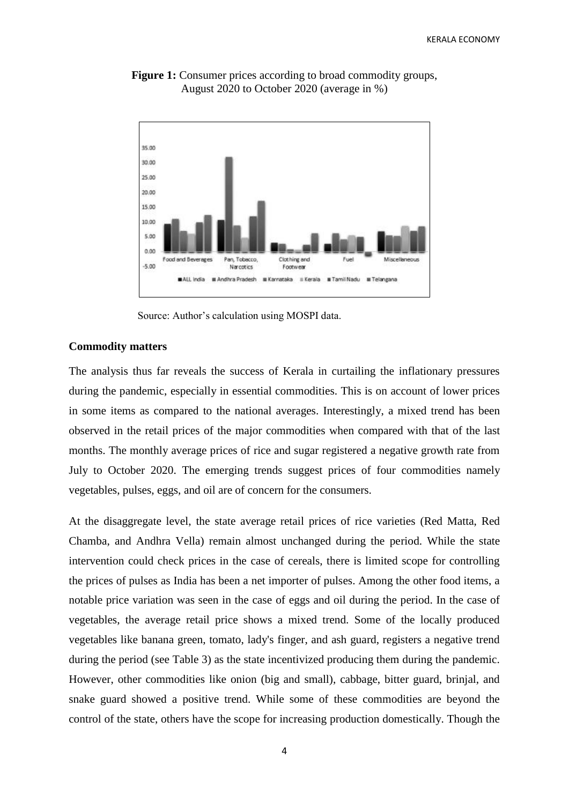

**Figure 1:** Consumer prices according to broad commodity groups, August 2020 to October 2020 (average in %)

Source: Author's calculation using MOSPI data.

### **Commodity matters**

The analysis thus far reveals the success of Kerala in curtailing the inflationary pressures during the pandemic, especially in essential commodities. This is on account of lower prices in some items as compared to the national averages. Interestingly, a mixed trend has been observed in the retail prices of the major commodities when compared with that of the last months. The monthly average prices of rice and sugar registered a negative growth rate from July to October 2020. The emerging trends suggest prices of four commodities namely vegetables, pulses, eggs, and oil are of concern for the consumers.

At the disaggregate level, the state average retail prices of rice varieties (Red Matta, Red Chamba, and Andhra Vella) remain almost unchanged during the period. While the state intervention could check prices in the case of cereals, there is limited scope for controlling the prices of pulses as India has been a net importer of pulses. Among the other food items, a notable price variation was seen in the case of eggs and oil during the period. In the case of vegetables, the average retail price shows a mixed trend. Some of the locally produced vegetables like banana green, tomato, lady's finger, and ash guard, registers a negative trend during the period (see Table 3) as the state incentivized producing them during the pandemic. However, other commodities like onion (big and small), cabbage, bitter guard, brinjal, and snake guard showed a positive trend. While some of these commodities are beyond the control of the state, others have the scope for increasing production domestically. Though the